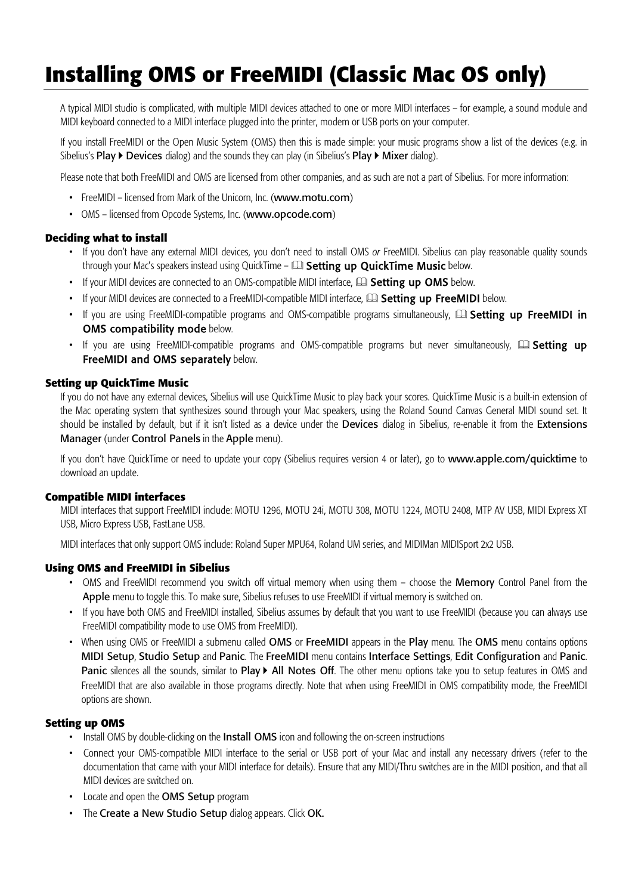# **Installing OMS or FreeMIDI (Classic Mac OS only)**

A typical MIDI studio is complicated, with multiple MIDI devices attached to one or more MIDI interfaces – for example, a sound module and MIDI keyboard connected to a MIDI interface plugged into the printer, modem or USB ports on your computer.

If you install FreeMIDI or the Open Music System (OMS) then this is made simple: your music programs show a list of the devices (e.g. in Sibelius's Play  $\triangleright$  Devices dialog) and the sounds they can play (in Sibelius's Play  $\triangleright$  Mixer dialog).

Please note that both FreeMIDI and OMS are licensed from other companies, and as such are not a part of Sibelius. For more information:

- FreeMIDI licensed from Mark of the Unicorn, Inc. (www.motu.com)
- OMS licensed from Opcode Systems, Inc. (www.opcode.com)

#### **Deciding what to install**

- If you don't have any external MIDI devices, you don't need to install OMS *or* FreeMIDI. Sibelius can play reasonable quality sounds through your Mac's speakers instead using QuickTime –  $\Box$  Setting up QuickTime Music below.
- If your MIDI devices are connected to an OMS-compatible MIDI interface, **QQ Setting up OMS** below.
- If your MIDI devices are connected to a FreeMIDI-compatible MIDI interface,  $\Box$  Setting up FreeMIDI below.
- If you are using FreeMIDI-compatible programs and OMS-compatible programs simultaneously,  $\Box$  Setting up FreeMIDI in **OMS compatibility mode below.**
- If you are using FreeMIDI-compatible programs and OMS-compatible programs but never simultaneously,  $\Box$  Setting up FreeMIDI and OMS separately below.

#### **Setting up QuickTime Music**

If you do not have any external devices, Sibelius will use QuickTime Music to play back your scores. QuickTime Music is a built-in extension of the Mac operating system that synthesizes sound through your Mac speakers, using the Roland Sound Canvas General MIDI sound set. It should be installed by default, but if it isn't listed as a device under the Devices dialog in Sibelius, re-enable it from the Extensions Manager (under Control Panels in the Apple menu).

If you don't have QuickTime or need to update your copy (Sibelius requires version 4 or later), go to www.apple.com/quicktime to download an update.

#### **Compatible MIDI interfaces**

MIDI interfaces that support FreeMIDI include: MOTU 1296, MOTU 24i, MOTU 308, MOTU 1224, MOTU 2408, MTP AV USB, MIDI Express XT USB, Micro Express USB, FastLane USB.

MIDI interfaces that only support OMS include: Roland Super MPU64, Roland UM series, and MIDIMan MIDISport 2x2 USB.

# **Using OMS and FreeMIDI in Sibelius**

- OMS and FreeMIDI recommend you switch off virtual memory when using them choose the Memory Control Panel from the Apple menu to toggle this. To make sure, Sibelius refuses to use FreeMIDI if virtual memory is switched on.
- If you have both OMS and FreeMIDI installed, Sibelius assumes by default that you want to use FreeMIDI (because you can always use FreeMIDI compatibility mode to use OMS from FreeMIDI).
- When using OMS or FreeMIDI a submenu called OMS or FreeMIDI appears in the Play menu. The OMS menu contains options MIDI Setup, Studio Setup and Panic. The FreeMIDI menu contains Interface Settings, Edit Configuration and Panic. Panic silences all the sounds, similar to Play  $\blacktriangleright$  All Notes Off. The other menu options take you to setup features in OMS and FreeMIDI that are also available in those programs directly. Note that when using FreeMIDI in OMS compatibility mode, the FreeMIDI options are shown.

#### **Setting up OMS**

- Install OMS by double-clicking on the Install OMS icon and following the on-screen instructions
- Connect your OMS-compatible MIDI interface to the serial or USB port of your Mac and install any necessary drivers (refer to the documentation that came with your MIDI interface for details). Ensure that any MIDI/Thru switches are in the MIDI position, and that all MIDI devices are switched on.
- Locate and open the OMS Setup program
- The Create a New Studio Setup dialog appears. Click OK.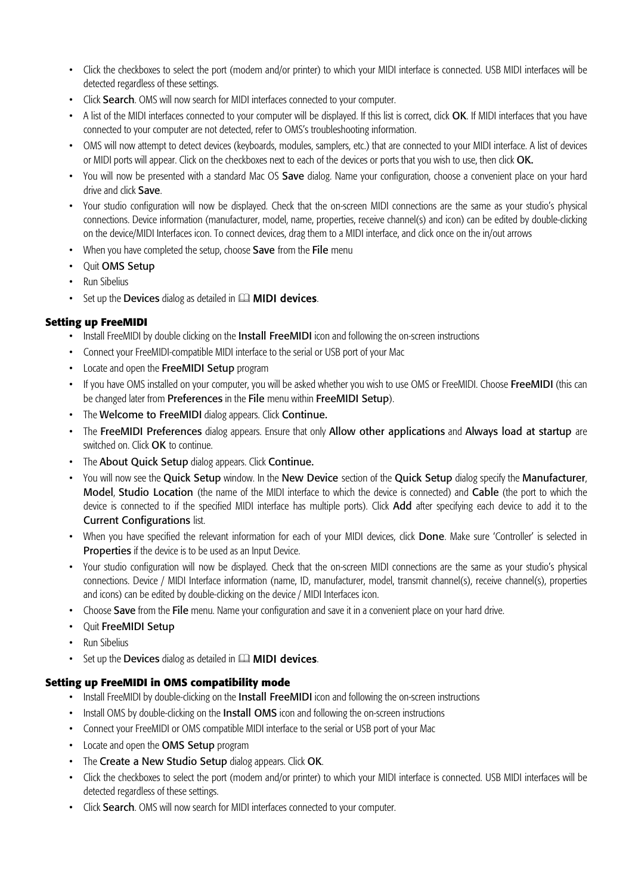- Click the checkboxes to select the port (modem and/or printer) to which your MIDI interface is connected. USB MIDI interfaces will be detected regardless of these settings.
- Click Search. OMS will now search for MIDI interfaces connected to your computer.
- A list of the MIDI interfaces connected to your computer will be displayed. If this list is correct, click OK. If MIDI interfaces that you have connected to your computer are not detected, refer to OMS's troubleshooting information.
- OMS will now attempt to detect devices (keyboards, modules, samplers, etc.) that are connected to your MIDI interface. A list of devices or MIDI ports will appear. Click on the checkboxes next to each of the devices or ports that you wish to use, then click OK.
- You will now be presented with a standard Mac OS Save dialog. Name your configuration, choose a convenient place on your hard drive and click Save.
- Your studio configuration will now be displayed. Check that the on-screen MIDI connections are the same as your studio's physical connections. Device information (manufacturer, model, name, properties, receive channel(s) and icon) can be edited by double-clicking on the device/MIDI Interfaces icon. To connect devices, drag them to a MIDI interface, and click once on the in/out arrows
- When you have completed the setup, choose Save from the File menu
- Quit OMS Setup
- Run Sibelius
- $\cdot$  Set up the Devices dialog as detailed in  $\Box\Box$  **MIDI devices**.

# **Setting up FreeMIDI**

- Install FreeMIDI by double clicking on the **Install FreeMIDI** icon and following the on-screen instructions
- Connect your FreeMIDI-compatible MIDI interface to the serial or USB port of your Mac
- Locate and open the FreeMIDI Setup program
- If you have OMS installed on your computer, you will be asked whether you wish to use OMS or FreeMIDI. Choose FreeMIDI (this can be changed later from Preferences in the File menu within FreeMIDI Setup).
- The Welcome to FreeMIDI dialog appears. Click Continue.
- The FreeMIDI Preferences dialog appears. Ensure that only Allow other applications and Always load at startup are switched on. Click OK to continue.
- The About Quick Setup dialog appears. Click Continue.
- You will now see the Quick Setup window. In the New Device section of the Quick Setup dialog specify the Manufacturer, Model, Studio Location (the name of the MIDI interface to which the device is connected) and Cable (the port to which the device is connected to if the specified MIDI interface has multiple ports). Click Add after specifying each device to add it to the Current Configurations list.
- When you have specified the relevant information for each of your MIDI devices, click Done. Make sure 'Controller' is selected in Properties if the device is to be used as an Input Device.
- Your studio configuration will now be displayed. Check that the on-screen MIDI connections are the same as your studio's physical connections. Device / MIDI Interface information (name, ID, manufacturer, model, transmit channel(s), receive channel(s), properties and icons) can be edited by double-clicking on the device / MIDI Interfaces icon.
- Choose Save from the File menu. Name your configuration and save it in a convenient place on your hard drive.
- Quit FreeMIDI Setup
- Run Sibelius
- Set up the Devices dialog as detailed in  $\Box$  MIDI devices.

## **Setting up FreeMIDI in OMS compatibility mode**

- Install FreeMIDI by double-clicking on the Install FreeMIDI icon and following the on-screen instructions
- Install OMS by double-clicking on the **Install OMS** icon and following the on-screen instructions
- Connect your FreeMIDI or OMS compatible MIDI interface to the serial or USB port of your Mac
- Locate and open the OMS Setup program
- The Create a New Studio Setup dialog appears. Click OK.
- Click the checkboxes to select the port (modem and/or printer) to which your MIDI interface is connected. USB MIDI interfaces will be detected regardless of these settings.
- Click Search. OMS will now search for MIDI interfaces connected to your computer.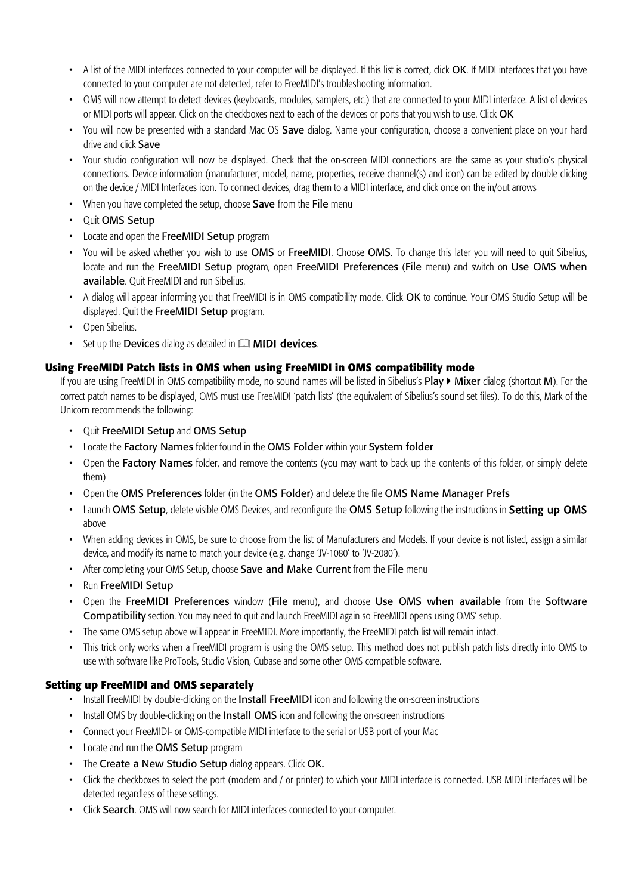- A list of the MIDI interfaces connected to your computer will be displayed. If this list is correct, click OK. If MIDI interfaces that you have connected to your computer are not detected, refer to FreeMIDI's troubleshooting information.
- OMS will now attempt to detect devices (keyboards, modules, samplers, etc.) that are connected to your MIDI interface. A list of devices or MIDI ports will appear. Click on the checkboxes next to each of the devices or ports that you wish to use. Click OK
- You will now be presented with a standard Mac OS Save dialog. Name your configuration, choose a convenient place on your hard drive and click Save
- Your studio configuration will now be displayed. Check that the on-screen MIDI connections are the same as your studio's physical connections. Device information (manufacturer, model, name, properties, receive channel(s) and icon) can be edited by double clicking on the device / MIDI Interfaces icon. To connect devices, drag them to a MIDI interface, and click once on the in/out arrows
- When you have completed the setup, choose Save from the File menu
- Quit OMS Setup
- Locate and open the FreeMIDI Setup program
- You will be asked whether you wish to use OMS or FreeMIDI. Choose OMS. To change this later you will need to quit Sibelius, locate and run the FreeMIDI Setup program, open FreeMIDI Preferences (File menu) and switch on Use OMS when available. Quit FreeMIDI and run Sibelius.
- A dialog will appear informing you that FreeMIDI is in OMS compatibility mode. Click OK to continue. Your OMS Studio Setup will be displayed. Quit the FreeMIDI Setup program.
- Open Sibelius.
- Set up the Devices dialog as detailed in  $\Box\Box$  **MIDI devices**.

# **Using FreeMIDI Patch lists in OMS when using FreeMIDI in OMS compatibility mode**

If you are using FreeMIDI in OMS compatibility mode, no sound names will be listed in Sibelius's **Play**  $\triangleright$  **Mixer** dialog (shortcut **M**). For the correct patch names to be displayed, OMS must use FreeMIDI 'patch lists' (the equivalent of Sibelius's sound set files). To do this, Mark of the Unicorn recommends the following:

- Quit FreeMIDI Setup and OMS Setup
- Locate the Factory Names folder found in the OMS Folder within your System folder
- Open the Factory Names folder, and remove the contents (you may want to back up the contents of this folder, or simply delete them)
- Open the OMS Preferences folder (in the OMS Folder) and delete the file OMS Name Manager Prefs
- Launch OMS Setup, delete visible OMS Devices, and reconfigure the OMS Setup following the instructions in Setting up OMS above
- When adding devices in OMS, be sure to choose from the list of Manufacturers and Models. If your device is not listed, assign a similar device, and modify its name to match your device (e.g. change 'JV-1080' to 'JV-2080').
- After completing your OMS Setup, choose Save and Make Current from the File menu
- Run FreeMIDI Setup
- Open the FreeMIDI Preferences window (File menu), and choose Use OMS when available from the Software Compatibility section. You may need to quit and launch FreeMIDI again so FreeMIDI opens using OMS' setup.
- The same OMS setup above will appear in FreeMIDI. More importantly, the FreeMIDI patch list will remain intact.
- This trick only works when a FreeMIDI program is using the OMS setup. This method does not publish patch lists directly into OMS to use with software like ProTools, Studio Vision, Cubase and some other OMS compatible software.

## **Setting up FreeMIDI and OMS separately**

- Install FreeMIDI by double-clicking on the Install FreeMIDI icon and following the on-screen instructions
- Install OMS by double-clicking on the Install OMS icon and following the on-screen instructions
- Connect your FreeMIDI- or OMS-compatible MIDI interface to the serial or USB port of your Mac
- Locate and run the OMS Setup program
- The Create a New Studio Setup dialog appears. Click OK.
- Click the checkboxes to select the port (modem and / or printer) to which your MIDI interface is connected. USB MIDI interfaces will be detected regardless of these settings.
- Click Search. OMS will now search for MIDI interfaces connected to your computer.